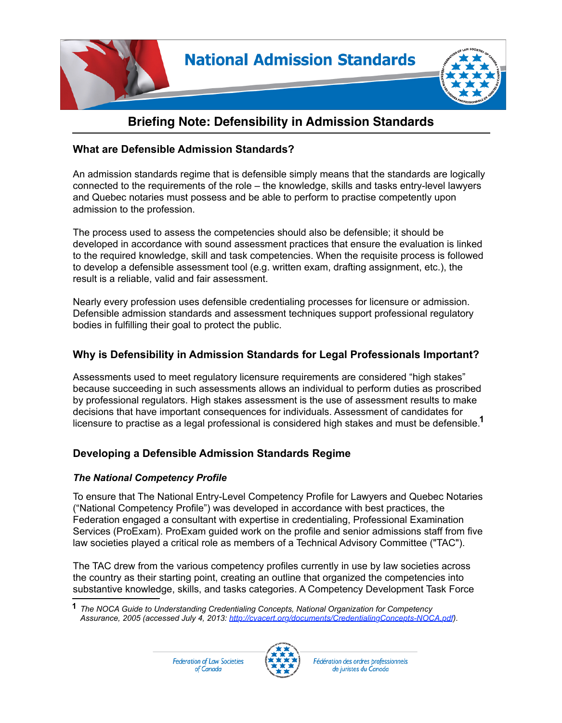

## **Briefing Note: Defensibility in Admission Standards**

#### **What are Defensible Admission Standards?**

An admission standards regime that is defensible simply means that the standards are logically connected to the requirements of the role – the knowledge, skills and tasks entry-level lawyers and Quebec notaries must possess and be able to perform to practise competently upon admission to the profession.

The process used to assess the competencies should also be defensible; it should be developed in accordance with sound assessment practices that ensure the evaluation is linked to the required knowledge, skill and task competencies. When the requisite process is followed to develop a defensible assessment tool (e.g. written exam, drafting assignment, etc.), the result is a reliable, valid and fair assessment.

Nearly every profession uses defensible credentialing processes for licensure or admission. Defensible admission standards and assessment techniques support professional regulatory bodies in fulfilling their goal to protect the public.

### **Why is Defensibility in Admission Standards for Legal Professionals Important?**

Assessments used to meet regulatory licensure requirements are considered "high stakes" because succeeding in such assessments allows an individual to perform duties as proscribed by professional regulators. High stakes assessment is the use of assessment results to make decisions that have important consequences for individuals. Assessment of candidates for licensure to practise as a legal professional is considered high stakes and must be defensible. **1**

### **Developing a Defensible Admission Standards Regime**

#### *The National Competency Profile*

To ensure that The National Entry-Level Competency Profile for Lawyers and Quebec Notaries ("National Competency Profile") was developed in accordance with best practices, the Federation engaged a consultant with expertise in credentialing, Professional Examination Services (ProExam). ProExam guided work on the profile and senior admissions staff from five law societies played a critical role as members of a Technical Advisory Committee ("TAC").

The TAC drew from the various competency profiles currently in use by law societies across the country as their starting point, creating an outline that organized the competencies into substantive knowledge, skills, and tasks categories. A Competency Development Task Force



Fédération des ordres professionnels de juristes du Canada

*The NOCA Guide to Understanding Credentialing Concepts, National Organization for Competency*  **1** *Assurance, 2005 (accessed July 4, 2013: http://cvacert.org/documents/CredentialingConcepts-NOCA.pdf).*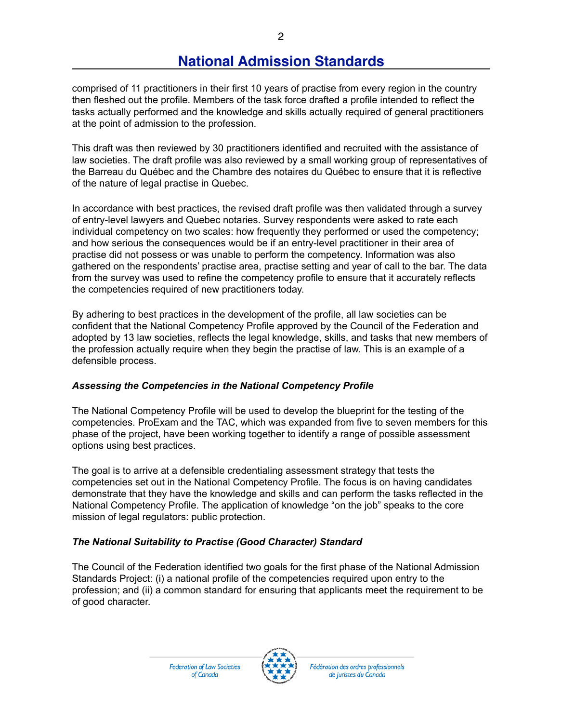# **National Admission Standards**

comprised of 11 practitioners in their first 10 years of practise from every region in the country then fleshed out the profile. Members of the task force drafted a profile intended to reflect the tasks actually performed and the knowledge and skills actually required of general practitioners at the point of admission to the profession.

This draft was then reviewed by 30 practitioners identified and recruited with the assistance of law societies. The draft profile was also reviewed by a small working group of representatives of the Barreau du Québec and the Chambre des notaires du Québec to ensure that it is reflective of the nature of legal practise in Quebec.

In accordance with best practices, the revised draft profile was then validated through a survey of entry-level lawyers and Quebec notaries. Survey respondents were asked to rate each individual competency on two scales: how frequently they performed or used the competency; and how serious the consequences would be if an entry-level practitioner in their area of practise did not possess or was unable to perform the competency. Information was also gathered on the respondents' practise area, practise setting and year of call to the bar. The data from the survey was used to refine the competency profile to ensure that it accurately reflects the competencies required of new practitioners today.

By adhering to best practices in the development of the profile, all law societies can be confident that the National Competency Profile approved by the Council of the Federation and adopted by 13 law societies, reflects the legal knowledge, skills, and tasks that new members of the profession actually require when they begin the practise of law. This is an example of a defensible process.

#### *Assessing the Competencies in the National Competency Profile*

The National Competency Profile will be used to develop the blueprint for the testing of the competencies. ProExam and the TAC, which was expanded from five to seven members for this phase of the project, have been working together to identify a range of possible assessment options using best practices.

The goal is to arrive at a defensible credentialing assessment strategy that tests the competencies set out in the National Competency Profile. The focus is on having candidates demonstrate that they have the knowledge and skills and can perform the tasks reflected in the National Competency Profile. The application of knowledge "on the job" speaks to the core mission of legal regulators: public protection.

#### *The National Suitability to Practise (Good Character) Standard*

The Council of the Federation identified two goals for the first phase of the National Admission Standards Project: (i) a national profile of the competencies required upon entry to the profession; and (ii) a common standard for ensuring that applicants meet the requirement to be of good character.



Fédération des ordres professionnels de juristes du Canada